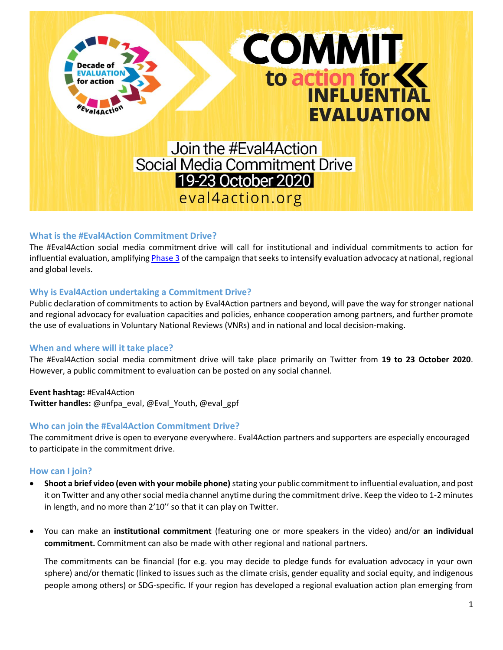

# **What is the #Eval4Action Commitment Drive?**

The #Eval4Action social media commitment drive will call for institutional and individual commitments to action for influential evaluation, amplifying [Phase 3](https://d8a59853-d87d-4b45-98ea-3a13a9c4407e.filesusr.com/ugd/6bffc4_8ab93f5ac0784bf7954f0c4c21758efb.pdf) of the campaign that seeks to intensify evaluation advocacy at national, regional and global levels.

# **Why is Eval4Action undertaking a Commitment Drive?**

Public declaration of commitments to action by Eval4Action partners and beyond, will pave the way for stronger national and regional advocacy for evaluation capacities and policies, enhance cooperation among partners, and further promote the use of evaluations in Voluntary National Reviews (VNRs) and in national and local decision-making.

# **When and where will it take place?**

The #Eval4Action social media commitment drive will take place primarily on Twitter from **19 to 23 October 2020**. However, a public commitment to evaluation can be posted on any social channel.

**Event hashtag:** #Eval4Action **Twitter handles:** @unfpa\_eval, @Eval\_Youth, @eval\_gpf

# **Who can join the #Eval4Action Commitment Drive?**

The commitment drive is open to everyone everywhere. Eval4Action partners and supporters are especially encouraged to participate in the commitment drive.

# **How can I join?**

- **Shoot a brief video (even with your mobile phone)** stating your public commitment to influential evaluation, and post it on Twitter and any other social media channel anytime during the commitment drive. Keep the video to 1-2 minutes in length, and no more than 2'10'' so that it can play on Twitter.
- You can make an **institutional commitment** (featuring one or more speakers in the video) and/or **an individual commitment.** Commitment can also be made with other regional and national partners.

The commitments can be financial (for e.g. you may decide to pledge funds for evaluation advocacy in your own sphere) and/or thematic (linked to issues such as the climate crisis, gender equality and social equity, and indigenous people among others) or SDG-specific. If your region has developed a regional evaluation action plan emerging from